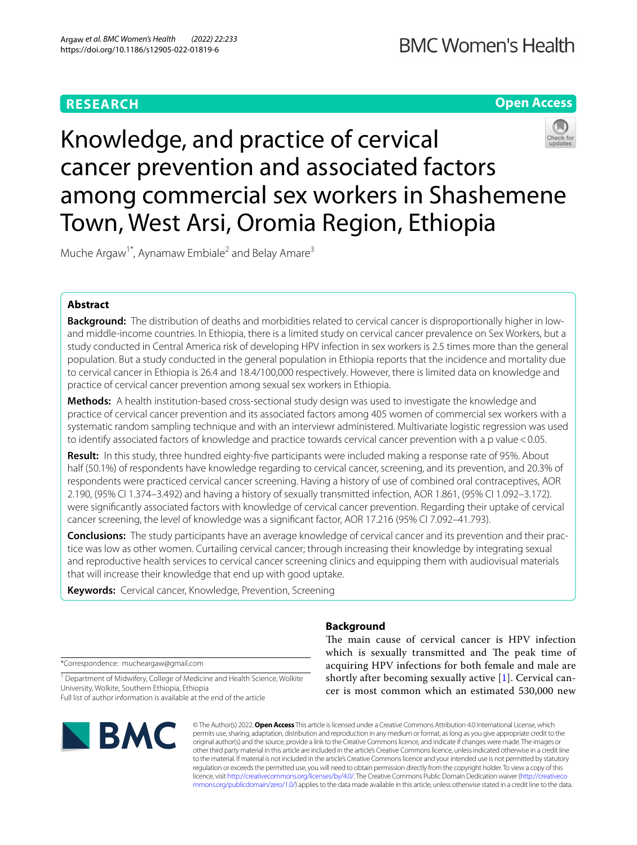# **RESEARCH**

# **Open Access**



Muche Argaw<sup>1\*</sup>, Aynamaw Embiale<sup>2</sup> and Belay Amare<sup>3</sup>

# **Abstract**

**Background:** The distribution of deaths and morbidities related to cervical cancer is disproportionally higher in lowand middle-income countries. In Ethiopia, there is a limited study on cervical cancer prevalence on Sex Workers, but a study conducted in Central America risk of developing HPV infection in sex workers is 2.5 times more than the general population. But a study conducted in the general population in Ethiopia reports that the incidence and mortality due to cervical cancer in Ethiopia is 26.4 and 18.4/100,000 respectively. However, there is limited data on knowledge and practice of cervical cancer prevention among sexual sex workers in Ethiopia.

**Methods:** A health institution-based cross-sectional study design was used to investigate the knowledge and practice of cervical cancer prevention and its associated factors among 405 women of commercial sex workers with a systematic random sampling technique and with an interviewr administered. Multivariate logistic regression was used to identify associated factors of knowledge and practice towards cervical cancer prevention with a p value < 0.05.

**Result:** In this study, three hundred eighty-fve participants were included making a response rate of 95%. About half (50.1%) of respondents have knowledge regarding to cervical cancer, screening, and its prevention, and 20.3% of respondents were practiced cervical cancer screening. Having a history of use of combined oral contraceptives, AOR 2.190, (95% CI 1.374–3.492) and having a history of sexually transmitted infection, AOR 1.861, (95% CI 1.092–3.172). were signifcantly associated factors with knowledge of cervical cancer prevention. Regarding their uptake of cervical cancer screening, the level of knowledge was a signifcant factor, AOR 17.216 (95% CI 7.092–41.793).

**Conclusions:** The study participants have an average knowledge of cervical cancer and its prevention and their practice was low as other women. Curtailing cervical cancer; through increasing their knowledge by integrating sexual and reproductive health services to cervical cancer screening clinics and equipping them with audiovisual materials that will increase their knowledge that end up with good uptake.

**Keywords:** Cervical cancer, Knowledge, Prevention, Screening

# **Background**

\*Correspondence: mucheargaw@gmail.com

<sup>1</sup> Department of Midwifery, College of Medicine and Health Science, Wolkite University, Wolkite, Southern Ethiopia, Ethiopia Full list of author information is available at the end of the article



The main cause of cervical cancer is HPV infection which is sexually transmitted and The peak time of acquiring HPV infections for both female and male are shortly after becoming sexually active [\[1](#page-6-0)]. Cervical cancer is most common which an estimated 530,000 new

© The Author(s) 2022. **Open Access** This article is licensed under a Creative Commons Attribution 4.0 International License, which permits use, sharing, adaptation, distribution and reproduction in any medium or format, as long as you give appropriate credit to the original author(s) and the source, provide a link to the Creative Commons licence, and indicate if changes were made. The images or other third party material in this article are included in the article's Creative Commons licence, unless indicated otherwise in a credit line to the material. If material is not included in the article's Creative Commons licence and your intended use is not permitted by statutory regulation or exceeds the permitted use, you will need to obtain permission directly from the copyright holder. To view a copy of this licence, visit [http://creativecommons.org/licenses/by/4.0/.](http://creativecommons.org/licenses/by/4.0/) The Creative Commons Public Domain Dedication waiver ([http://creativeco](http://creativecommons.org/publicdomain/zero/1.0/) [mmons.org/publicdomain/zero/1.0/](http://creativecommons.org/publicdomain/zero/1.0/)) applies to the data made available in this article, unless otherwise stated in a credit line to the data.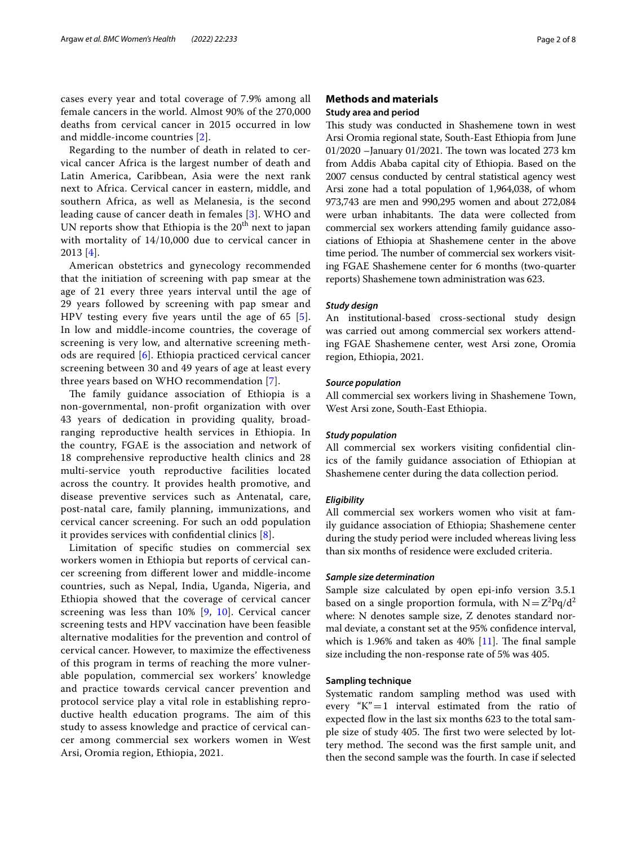cases every year and total coverage of 7.9% among all female cancers in the world. Almost 90% of the 270,000 deaths from cervical cancer in 2015 occurred in low and middle-income countries [[2\]](#page-6-1).

Regarding to the number of death in related to cervical cancer Africa is the largest number of death and Latin America, Caribbean, Asia were the next rank next to Africa. Cervical cancer in eastern, middle, and southern Africa, as well as Melanesia, is the second leading cause of cancer death in females [[3](#page-6-2)]. WHO and UN reports show that Ethiopia is the  $20<sup>th</sup>$  next to japan with mortality of 14/10,000 due to cervical cancer in 2013 [[4\]](#page-7-0).

American obstetrics and gynecology recommended that the initiation of screening with pap smear at the age of 21 every three years interval until the age of 29 years followed by screening with pap smear and HPV testing every fve years until the age of 65 [[5\]](#page-7-1). In low and middle-income countries, the coverage of screening is very low, and alternative screening methods are required [[6\]](#page-7-2). Ethiopia practiced cervical cancer screening between 30 and 49 years of age at least every three years based on WHO recommendation [[7\]](#page-7-3).

The family guidance association of Ethiopia is a non-governmental, non-proft organization with over 43 years of dedication in providing quality, broadranging reproductive health services in Ethiopia. In the country, FGAE is the association and network of 18 comprehensive reproductive health clinics and 28 multi-service youth reproductive facilities located across the country. It provides health promotive, and disease preventive services such as Antenatal, care, post-natal care, family planning, immunizations, and cervical cancer screening. For such an odd population it provides services with confdential clinics [[8](#page-7-4)].

Limitation of specifc studies on commercial sex workers women in Ethiopia but reports of cervical cancer screening from diferent lower and middle-income countries, such as Nepal, India, Uganda, Nigeria, and Ethiopia showed that the coverage of cervical cancer screening was less than 10% [[9,](#page-7-5) [10\]](#page-7-6). Cervical cancer screening tests and HPV vaccination have been feasible alternative modalities for the prevention and control of cervical cancer. However, to maximize the efectiveness of this program in terms of reaching the more vulnerable population, commercial sex workers' knowledge and practice towards cervical cancer prevention and protocol service play a vital role in establishing reproductive health education programs. The aim of this study to assess knowledge and practice of cervical cancer among commercial sex workers women in West Arsi, Oromia region, Ethiopia, 2021.

# **Methods and materials Study area and period**

This study was conducted in Shashemene town in west Arsi Oromia regional state, South-East Ethiopia from June 01/2020 –January 01/2021. The town was located 273 km from Addis Ababa capital city of Ethiopia. Based on the 2007 census conducted by central statistical agency west Arsi zone had a total population of 1,964,038, of whom 973,743 are men and 990,295 women and about 272,084 were urban inhabitants. The data were collected from commercial sex workers attending family guidance associations of Ethiopia at Shashemene center in the above time period. The number of commercial sex workers visiting FGAE Shashemene center for 6 months (two-quarter reports) Shashemene town administration was 623.

# *Study design*

An institutional-based cross-sectional study design was carried out among commercial sex workers attending FGAE Shashemene center, west Arsi zone, Oromia region, Ethiopia, 2021.

### *Source population*

All commercial sex workers living in Shashemene Town, West Arsi zone, South-East Ethiopia.

### *Study population*

All commercial sex workers visiting confdential clinics of the family guidance association of Ethiopian at Shashemene center during the data collection period.

# *Eligibility*

All commercial sex workers women who visit at family guidance association of Ethiopia; Shashemene center during the study period were included whereas living less than six months of residence were excluded criteria.

### *Sample size determination*

Sample size calculated by open epi-info version 3.5.1 based on a single proportion formula, with  $N = Z^2Pq/d^2$ where: N denotes sample size, Z denotes standard normal deviate, a constant set at the 95% confdence interval, which is 1.96% and taken as  $40\%$  [[11\]](#page-7-7). The final sample size including the non-response rate of 5% was 405.

# **Sampling technique**

Systematic random sampling method was used with every " $K$ " = 1 interval estimated from the ratio of expected flow in the last six months 623 to the total sample size of study 405. The first two were selected by lottery method. The second was the first sample unit, and then the second sample was the fourth. In case if selected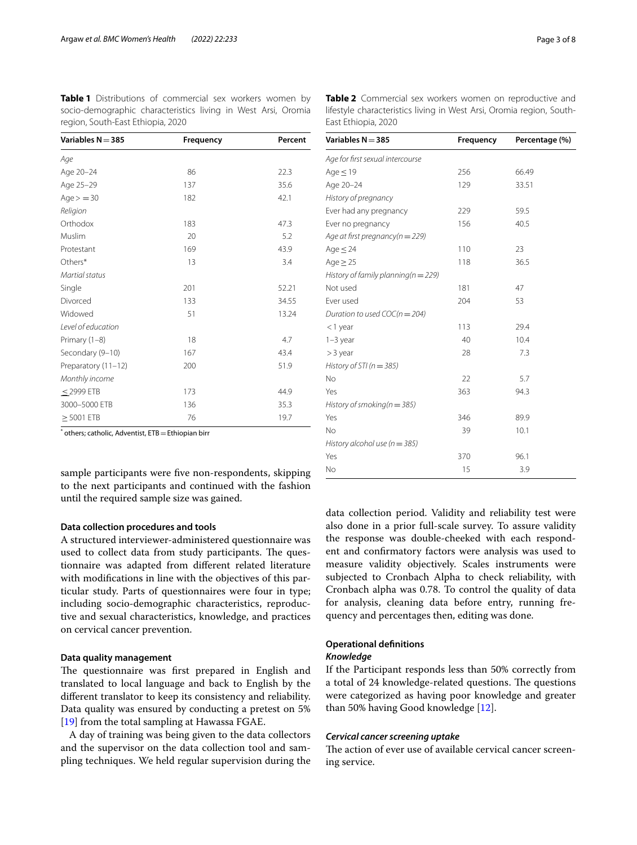<span id="page-2-0"></span>**Table 1** Distributions of commercial sex workers women by socio-demographic characteristics living in West Arsi, Oromia region, South-East Ethiopia, 2020

| Variables $N = 385$        | Frequency<br>Percent |
|----------------------------|----------------------|
| Age                        |                      |
| 86<br>Age 20-24            | 22.3                 |
| Age 25-29<br>137           | 35.6                 |
| $Age = 30$<br>182          | 42.1                 |
| Religion                   |                      |
| Orthodox<br>183            | 47.3                 |
| Muslim<br>20               | 5.2                  |
| 169<br>Protestant          | 43.9                 |
| Others*<br>13              | 3.4                  |
| Martial status             |                      |
| Single<br>201              | 52.21                |
| Divorced<br>133            | 34.55                |
| Widowed<br>51              | 13.24                |
| Level of education         |                      |
| Primary (1-8)<br>18        | 4.7                  |
| Secondary (9-10)<br>167    | 43.4                 |
| 200<br>Preparatory (11-12) | 51.9                 |
| Monthly income             |                      |
| $<$ 2999 ETB<br>173        | 44.9                 |
| 3000-5000 ETB<br>136       | 35.3                 |
| $>$ 5001 ETB<br>76         | 19.7                 |

 $^*$  others; catholic, Adventist, ETB $=$  Ethiopian birr

sample participants were fve non-respondents, skipping to the next participants and continued with the fashion until the required sample size was gained.

# **Data collection procedures and tools**

A structured interviewer-administered questionnaire was used to collect data from study participants. The questionnaire was adapted from diferent related literature with modifcations in line with the objectives of this particular study. Parts of questionnaires were four in type; including socio-demographic characteristics, reproductive and sexual characteristics, knowledge, and practices on cervical cancer prevention.

### **Data quality management**

The questionnaire was first prepared in English and translated to local language and back to English by the diferent translator to keep its consistency and reliability. Data quality was ensured by conducting a pretest on 5% [[19\]](#page-7-8) from the total sampling at Hawassa FGAE.

A day of training was being given to the data collectors and the supervisor on the data collection tool and sampling techniques. We held regular supervision during the <span id="page-2-1"></span>**Table 2** Commercial sex workers women on reproductive and lifestyle characteristics living in West Arsi, Oromia region, South-East Ethiopia, 2020

| Variables $N = 385$                     | Frequency | Percentage (%) |
|-----------------------------------------|-----------|----------------|
| Age for first sexual intercourse        |           |                |
| Age $\leq$ 19                           | 256       | 66.49          |
| Age 20-24                               | 129       | 33.51          |
| History of pregnancy                    |           |                |
| Ever had any pregnancy                  | 229       | 59.5           |
| Ever no pregnancy                       | 156       | 40.5           |
| Age at first pregnancy(n = 229)         |           |                |
| Age $\leq$ 24                           | 110       | 23             |
| Age $\geq$ 25                           | 118       | 36.5           |
| History of family planning( $n = 229$ ) |           |                |
| Not used                                | 181       | 47             |
| Ever used                               | 204       | 53             |
| Duration to used $COC(n = 204)$         |           |                |
| $<$ 1 year                              | 113       | 29.4           |
| $1-3$ year                              | 40        | 10.4           |
| $>$ 3 year                              | 28        | 7.3            |
| History of STI ( $n = 385$ )            |           |                |
| N <sub>o</sub>                          | 22        | 5.7            |
| Yes                                     | 363       | 94.3           |
| History of smoking( $n = 385$ )         |           |                |
| Yes                                     | 346       | 89.9           |
| No                                      | 39        | 10.1           |
| History alcohol use ( $n = 385$ )       |           |                |
| Yes                                     | 370       | 96.1           |
| No                                      | 15        | 3.9            |

data collection period. Validity and reliability test were also done in a prior full-scale survey. To assure validity the response was double-cheeked with each respondent and confrmatory factors were analysis was used to measure validity objectively. Scales instruments were subjected to Cronbach Alpha to check reliability, with Cronbach alpha was 0.78. To control the quality of data for analysis, cleaning data before entry, running frequency and percentages then, editing was done.

# **Operational defnitions**

# *Knowledge*

If the Participant responds less than 50% correctly from a total of 24 knowledge-related questions. The questions were categorized as having poor knowledge and greater than 50% having Good knowledge [\[12](#page-7-9)].

### *Cervical cancer screening uptake*

The action of ever use of available cervical cancer screening service.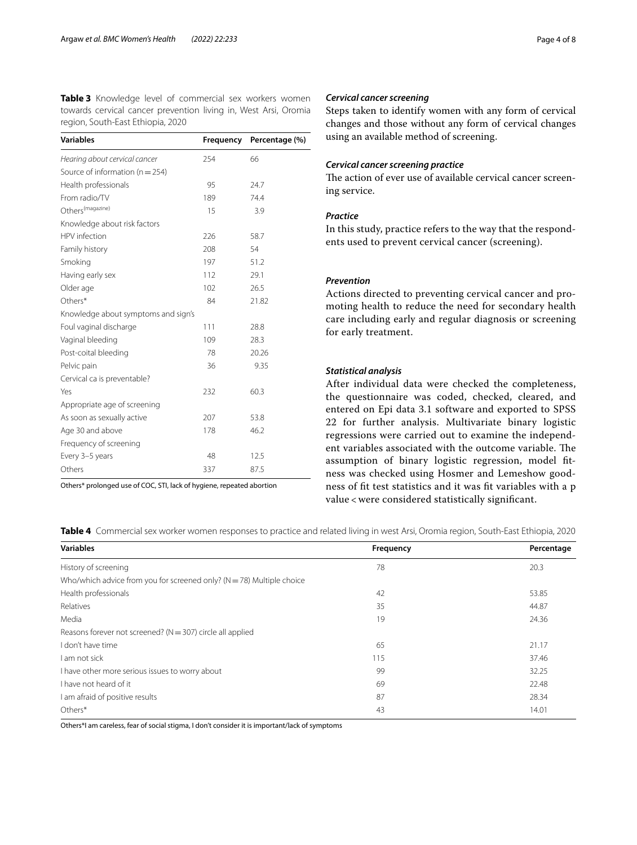<span id="page-3-0"></span>**Table 3** Knowledge level of commercial sex workers women towards cervical cancer prevention living in, West Arsi, Oromia region, South-East Ethiopia, 2020

| Variables                           | Frequency | Percentage (%) |
|-------------------------------------|-----------|----------------|
| Hearing about cervical cancer       | 254       | 66             |
| Source of information ( $n = 254$ ) |           |                |
| Health professionals                | 95        | 24.7           |
| From radio/TV                       | 189       | 74.4           |
| Others <sup>(magazine)</sup>        | 15        | 3.9            |
| Knowledge about risk factors        |           |                |
| HPV infection                       | 226       | 58.7           |
| Family history                      | 208       | 54             |
| Smoking                             | 197       | 51.2           |
| Having early sex                    | 112       | 29.1           |
| Older age                           | 102       | 26.5           |
| Others*                             | 84        | 21.82          |
| Knowledge about symptoms and sign's |           |                |
| Foul vaginal discharge              | 111       | 28.8           |
| Vaginal bleeding                    | 109       | 28.3           |
| Post-coital bleeding                | 78        | 20.26          |
| Pelvic pain                         | 36        | 9.35           |
| Cervical ca is preventable?         |           |                |
| Yes                                 | 232       | 60.3           |
| Appropriate age of screening        |           |                |
| As soon as sexually active          | 207       | 53.8           |
| Age 30 and above                    | 178       | 46.2           |
| Frequency of screening              |           |                |
| Every 3-5 years                     | 48        | 12.5           |
| Others                              | 337       | 87.5           |

Others\* prolonged use of COC, STI, lack of hygiene, repeated abortion

# *Cervical cancer screening*

Steps taken to identify women with any form of cervical changes and those without any form of cervical changes using an available method of screening.

# *Cervical cancer screening practice*

The action of ever use of available cervical cancer screening service.

# *Practice*

In this study, practice refers to the way that the respondents used to prevent cervical cancer (screening).

# *Prevention*

Actions directed to preventing cervical cancer and promoting health to reduce the need for secondary health care including early and regular diagnosis or screening for early treatment.

# *Statistical analysis*

After individual data were checked the completeness, the questionnaire was coded, checked, cleared, and entered on Epi data 3.1 software and exported to SPSS 22 for further analysis. Multivariate binary logistic regressions were carried out to examine the independent variables associated with the outcome variable. The assumption of binary logistic regression, model ftness was checked using Hosmer and Lemeshow goodness of ft test statistics and it was ft variables with a p value < were considered statistically signifcant.

<span id="page-3-1"></span>**Table 4** Commercial sex worker women responses to practice and related living in west Arsi, Oromia region, South-East Ethiopia, 2020

| <b>Variables</b>                                                          | Frequency | Percentage |
|---------------------------------------------------------------------------|-----------|------------|
| History of screening                                                      | 78        | 20.3       |
| Who/which advice from you for screened only? ( $N = 78$ ) Multiple choice |           |            |
| Health professionals                                                      | 42        | 53.85      |
| Relatives                                                                 | 35        | 44.87      |
| Media                                                                     | 19        | 24.36      |
| Reasons forever not screened? ( $N = 307$ ) circle all applied            |           |            |
| I don't have time                                                         | 65        | 21.17      |
| I am not sick                                                             | 115       | 37.46      |
| I have other more serious issues to worry about                           | 99        | 32.25      |
| I have not heard of it                                                    | 69        | 22.48      |
| I am afraid of positive results                                           | 87        | 28.34      |
| Others*                                                                   | 43        | 14.01      |

Others\*I am careless, fear of social stigma, I don't consider it is important/lack of symptoms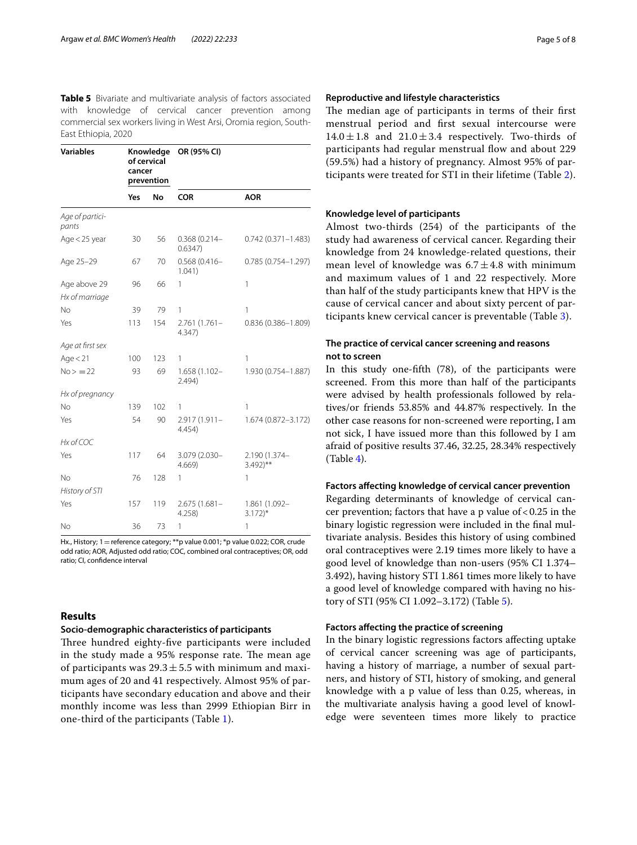<span id="page-4-0"></span>**Table 5** Bivariate and multivariate analysis of factors associated with knowledge of cervical cancer prevention among commercial sex workers living in West Arsi, Oromia region, South-East Ethiopia, 2020

| <b>Variables</b>         | Knowledge<br>of cervical<br>cancer<br>prevention |     | OR (95% CI)                |                                        |  |
|--------------------------|--------------------------------------------------|-----|----------------------------|----------------------------------------|--|
|                          | Yes                                              | No  | <b>COR</b>                 | <b>AOR</b>                             |  |
| Age of partici-<br>pants |                                                  |     |                            |                                        |  |
| Age < 25 year            | 30                                               | 56  | $0.368(0.214 -$<br>0.6347) | $0.742(0.371 - 1.483)$                 |  |
| Age 25-29                | 67                                               | 70  | $0.568(0.416 -$<br>1.041)  | $0.785(0.754 - 1.297)$                 |  |
| Age above 29             | 96                                               | 66  | 1                          | 1                                      |  |
| Hx of marriage           |                                                  |     |                            |                                        |  |
| No                       | 39                                               | 79  | 1                          | $\mathbf{1}$                           |  |
| Yes                      | 113                                              | 154 | $2.761(1.761 -$<br>4.347)  | $0.836(0.386 - 1.809)$                 |  |
| Age at first sex         |                                                  |     |                            |                                        |  |
| Age $<$ 21               | 100                                              | 123 | 1                          | 1                                      |  |
| $No = 22$                | 93                                               | 69  | 1.658 (1.102-<br>2.494)    | 1.930 (0.754-1.887)                    |  |
| Hx of pregnancy          |                                                  |     |                            |                                        |  |
| No                       | 139                                              | 102 | 1                          | 1                                      |  |
| Yes                      | 54                                               | 90  | 2.917 (1.911-<br>4.454)    | 1.674 (0.872-3.172)                    |  |
| Hx of COC                |                                                  |     |                            |                                        |  |
| Yes                      | 117                                              | 64  | 3.079 (2.030-<br>4.669     | 2.190 (1.374-<br>$3.492$ <sup>**</sup> |  |
| No                       | 76                                               | 128 | 1                          | 1                                      |  |
| History of STI           |                                                  |     |                            |                                        |  |
| Yes                      | 157                                              | 119 | 2.675 (1.681-<br>4.258)    | 1.861 (1.092-<br>$3.172$ <sup>*</sup>  |  |
| No                       | 36                                               | 73  | 1                          | 1                                      |  |

Hx., History; 1 = reference category; \*\*p value 0.001; \*p value 0.022; COR, crude odd ratio; AOR, Adjusted odd ratio; COC, combined oral contraceptives; OR, odd ratio; CI, confdence interval

# **Results**

### **Socio‑demographic characteristics of participants**

Three hundred eighty-five participants were included in the study made a 95% response rate. The mean age of participants was  $29.3 \pm 5.5$  with minimum and maximum ages of 20 and 41 respectively. Almost 95% of participants have secondary education and above and their monthly income was less than 2999 Ethiopian Birr in one-third of the participants (Table [1](#page-2-0)).

### **Reproductive and lifestyle characteristics**

The median age of participants in terms of their first menstrual period and frst sexual intercourse were  $14.0 \pm 1.8$  and  $21.0 \pm 3.4$  respectively. Two-thirds of participants had regular menstrual flow and about 229 (59.5%) had a history of pregnancy. Almost 95% of participants were treated for STI in their lifetime (Table [2\)](#page-2-1).

# **Knowledge level of participants**

Almost two-thirds (254) of the participants of the study had awareness of cervical cancer. Regarding their knowledge from 24 knowledge-related questions, their mean level of knowledge was  $6.7 \pm 4.8$  with minimum and maximum values of 1 and 22 respectively. More than half of the study participants knew that HPV is the cause of cervical cancer and about sixty percent of participants knew cervical cancer is preventable (Table [3](#page-3-0)).

# **The practice of cervical cancer screening and reasons not to screen**

In this study one-ffth (78), of the participants were screened. From this more than half of the participants were advised by health professionals followed by relatives/or friends 53.85% and 44.87% respectively. In the other case reasons for non-screened were reporting, I am not sick, I have issued more than this followed by I am afraid of positive results 37.46, 32.25, 28.34% respectively (Table [4\)](#page-3-1).

# **Factors afecting knowledge of cervical cancer prevention**

Regarding determinants of knowledge of cervical cancer prevention; factors that have a p value of  $< 0.25$  in the binary logistic regression were included in the fnal multivariate analysis. Besides this history of using combined oral contraceptives were 2.19 times more likely to have a good level of knowledge than non-users (95% CI 1.374– 3.492), having history STI 1.861 times more likely to have a good level of knowledge compared with having no history of STI (95% CI 1.092–3.172) (Table [5](#page-4-0)).

# **Factors afecting the practice of screening**

In the binary logistic regressions factors afecting uptake of cervical cancer screening was age of participants, having a history of marriage, a number of sexual partners, and history of STI, history of smoking, and general knowledge with a p value of less than 0.25, whereas, in the multivariate analysis having a good level of knowledge were seventeen times more likely to practice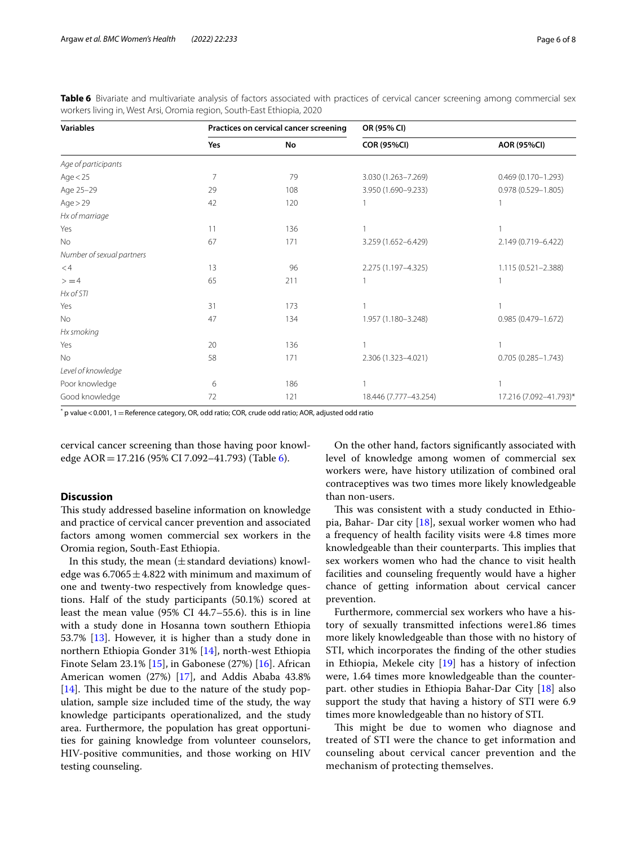<span id="page-5-0"></span>**Table 6** Bivariate and multivariate analysis of factors associated with practices of cervical cancer screening among commercial sex workers living in, West Arsi, Oromia region, South-East Ethiopia, 2020

| <b>Variables</b>          |                | Practices on cervical cancer screening | OR (95% CI)           |                        |
|---------------------------|----------------|----------------------------------------|-----------------------|------------------------|
|                           | Yes            | No                                     | <b>COR (95%CI)</b>    | <b>AOR (95%CI)</b>     |
| Age of participants       |                |                                        |                       |                        |
| Age $< 25$                | $\overline{7}$ | 79                                     | 3.030 (1.263-7.269)   | $0.469(0.170 - 1.293)$ |
| Age 25-29                 | 29             | 108                                    | 3.950 (1.690-9.233)   | 0.978 (0.529-1.805)    |
| Age > 29                  | 42             | 120                                    |                       |                        |
| Hx of marriage            |                |                                        |                       |                        |
| Yes                       | 11             | 136                                    |                       |                        |
| <b>No</b>                 | 67             | 171                                    | 3.259 (1.652-6.429)   | 2.149 (0.719-6.422)    |
| Number of sexual partners |                |                                        |                       |                        |
| $<$ 4                     | 13             | 96                                     | 2.275 (1.197-4.325)   | 1.115 (0.521-2.388)    |
| > 4                       | 65             | 211                                    |                       |                        |
| Hx of STI                 |                |                                        |                       |                        |
| Yes                       | 31             | 173                                    |                       |                        |
| No                        | 47             | 134                                    | 1.957 (1.180-3.248)   | 0.985 (0.479-1.672)    |
| Hx smoking                |                |                                        |                       |                        |
| Yes                       | 20             | 136                                    |                       | $\overline{1}$         |
| No                        | 58             | 171                                    | 2.306 (1.323-4.021)   | $0.705(0.285 - 1.743)$ |
| Level of knowledge        |                |                                        |                       |                        |
| Poor knowledge            | 6              | 186                                    |                       | 1                      |
| Good knowledge            | 72             | 121                                    | 18.446 (7.777-43.254) | 17.216 (7.092-41.793)* |

 $^*$  p value < 0.001, 1  $=$  Reference category, OR, odd ratio; COR, crude odd ratio; AOR, adjusted odd ratio

cervical cancer screening than those having poor knowledge AOR=17.216 (95% CI 7.092–41.793) (Table [6](#page-5-0)).

# **Discussion**

This study addressed baseline information on knowledge and practice of cervical cancer prevention and associated factors among women commercial sex workers in the Oromia region, South-East Ethiopia.

In this study, the mean  $(\pm$  standard deviations) knowledge was  $6.7065 \pm 4.822$  with minimum and maximum of one and twenty-two respectively from knowledge questions. Half of the study participants (50.1%) scored at least the mean value (95% CI 44.7–55.6). this is in line with a study done in Hosanna town southern Ethiopia 53.7% [[13\]](#page-7-10). However, it is higher than a study done in northern Ethiopia Gonder 31% [\[14](#page-7-11)], north-west Ethiopia Finote Selam 23.1% [[15\]](#page-7-12), in Gabonese (27%) [[16\]](#page-7-13). African American women (27%) [[17](#page-7-14)], and Addis Ababa 43.8% [[14\]](#page-7-11). This might be due to the nature of the study population, sample size included time of the study, the way knowledge participants operationalized, and the study area. Furthermore, the population has great opportunities for gaining knowledge from volunteer counselors, HIV-positive communities, and those working on HIV testing counseling.

On the other hand, factors signifcantly associated with level of knowledge among women of commercial sex workers were, have history utilization of combined oral contraceptives was two times more likely knowledgeable than non-users.

This was consistent with a study conducted in Ethiopia, Bahar- Dar city [\[18\]](#page-7-15), sexual worker women who had a frequency of health facility visits were 4.8 times more knowledgeable than their counterparts. This implies that sex workers women who had the chance to visit health facilities and counseling frequently would have a higher chance of getting information about cervical cancer prevention.

Furthermore, commercial sex workers who have a history of sexually transmitted infections were1.86 times more likely knowledgeable than those with no history of STI, which incorporates the fnding of the other studies in Ethiopia, Mekele city [[19](#page-7-8)] has a history of infection were, 1.64 times more knowledgeable than the counterpart. other studies in Ethiopia Bahar-Dar City [[18\]](#page-7-15) also support the study that having a history of STI were 6.9 times more knowledgeable than no history of STI.

This might be due to women who diagnose and treated of STI were the chance to get information and counseling about cervical cancer prevention and the mechanism of protecting themselves.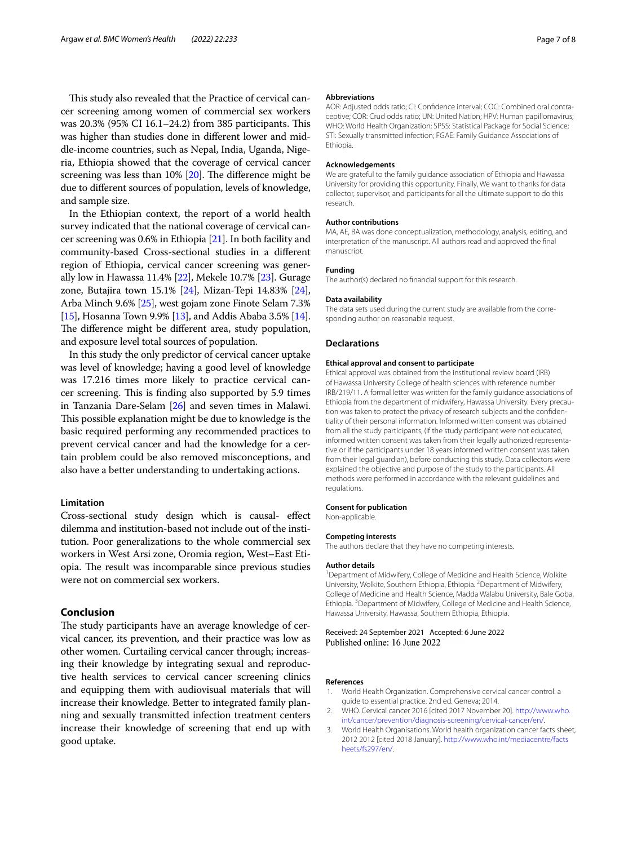This study also revealed that the Practice of cervical cancer screening among women of commercial sex workers was  $20.3\%$  (95% CI 16.1–24.2) from 385 participants. This was higher than studies done in diferent lower and middle-income countries, such as Nepal, India, Uganda, Nigeria, Ethiopia showed that the coverage of cervical cancer screening was less than  $10\%$  [ $20$ ]. The difference might be due to diferent sources of population, levels of knowledge, and sample size.

In the Ethiopian context, the report of a world health survey indicated that the national coverage of cervical cancer screening was 0.6% in Ethiopia [\[21\]](#page-7-17). In both facility and community-based Cross-sectional studies in a diferent region of Ethiopia, cervical cancer screening was generally low in Hawassa 11.4% [\[22\]](#page-7-18), Mekele 10.7% [[23](#page-7-19)]. Gurage zone, Butajira town 15.1% [[24](#page-7-20)], Mizan-Tepi 14.83% [[24](#page-7-20)], Arba Minch 9.6% [[25](#page-7-21)], west gojam zone Finote Selam 7.3% [[15](#page-7-12)], Hosanna Town 9.9% [[13](#page-7-10)], and Addis Ababa 3.5% [[14](#page-7-11)]. The difference might be different area, study population, and exposure level total sources of population.

In this study the only predictor of cervical cancer uptake was level of knowledge; having a good level of knowledge was 17.216 times more likely to practice cervical cancer screening. This is finding also supported by 5.9 times in Tanzania Dare-Selam [\[26](#page-7-22)] and seven times in Malawi. This possible explanation might be due to knowledge is the basic required performing any recommended practices to prevent cervical cancer and had the knowledge for a certain problem could be also removed misconceptions, and also have a better understanding to undertaking actions.

### **Limitation**

Cross-sectional study design which is causal- efect dilemma and institution-based not include out of the institution. Poor generalizations to the whole commercial sex workers in West Arsi zone, Oromia region, West–East Etiopia. The result was incomparable since previous studies were not on commercial sex workers.

# **Conclusion**

The study participants have an average knowledge of cervical cancer, its prevention, and their practice was low as other women. Curtailing cervical cancer through; increasing their knowledge by integrating sexual and reproductive health services to cervical cancer screening clinics and equipping them with audiovisual materials that will increase their knowledge. Better to integrated family planning and sexually transmitted infection treatment centers increase their knowledge of screening that end up with good uptake.

#### **Abbreviations**

AOR: Adjusted odds ratio; CI: Confdence interval; COC: Combined oral contraceptive; COR: Crud odds ratio; UN: United Nation; HPV: Human papillomavirus; WHO: World Health Organization; SPSS: Statistical Package for Social Science; STI: Sexually transmitted infection; FGAE: Family Guidance Associations of Ethiopia.

#### **Acknowledgements**

We are grateful to the family guidance association of Ethiopia and Hawassa University for providing this opportunity. Finally, We want to thanks for data collector, supervisor, and participants for all the ultimate support to do this research.

#### **Author contributions**

MA, AE, BA was done conceptualization, methodology, analysis, editing, and interpretation of the manuscript. All authors read and approved the fnal manuscript.

#### **Funding**

The author(s) declared no fnancial support for this research.

#### **Data availability**

The data sets used during the current study are available from the corresponding author on reasonable request.

#### **Declarations**

#### **Ethical approval and consent to participate**

Ethical approval was obtained from the institutional review board (IRB) of Hawassa University College of health sciences with reference number IRB/219/11. A formal letter was written for the family guidance associations of Ethiopia from the department of midwifery, Hawassa University. Every precaution was taken to protect the privacy of research subjects and the confdentiality of their personal information. Informed written consent was obtained from all the study participants, (if the study participant were not educated, informed written consent was taken from their legally authorized representative or if the participants under 18 years informed written consent was taken from their legal guardian), before conducting this study. Data collectors were explained the objective and purpose of the study to the participants. All methods were performed in accordance with the relevant guidelines and regulations.

#### **Consent for publication**

Non-applicable.

#### **Competing interests**

The authors declare that they have no competing interests.

#### **Author details**

<sup>1</sup> Department of Midwifery, College of Medicine and Health Science, Wolkite University, Wolkite, Southern Ethiopia, Ethiopia. <sup>2</sup> Department of Midwifery, College of Medicine and Health Science, Madda Walabu University, Bale Goba, Ethiopia.<sup>3</sup> Department of Midwifery, College of Medicine and Health Science, Hawassa University, Hawassa, Southern Ethiopia, Ethiopia.

#### Received: 24 September 2021 Accepted: 6 June 2022 Published online: 16 June 2022

#### **References**

- <span id="page-6-0"></span>1. World Health Organization. Comprehensive cervical cancer control: a guide to essential practice. 2nd ed. Geneva; 2014.
- <span id="page-6-1"></span>2. WHO. Cervical cancer 2016 [cited 2017 November 20]. [http://www.who.](http://www.who.int/cancer/prevention/diagnosis-screening/cervical-cancer/en/) [int/cancer/prevention/diagnosis-screening/cervical-cancer/en/.](http://www.who.int/cancer/prevention/diagnosis-screening/cervical-cancer/en/)
- <span id="page-6-2"></span>3. World Health Organisations. World health organization cancer facts sheet, 2012 2012 [cited 2018 January]. [http://www.who.int/mediacentre/facts](http://www.who.int/mediacentre/factsheets/fs297/en/) [heets/fs297/en/](http://www.who.int/mediacentre/factsheets/fs297/en/).